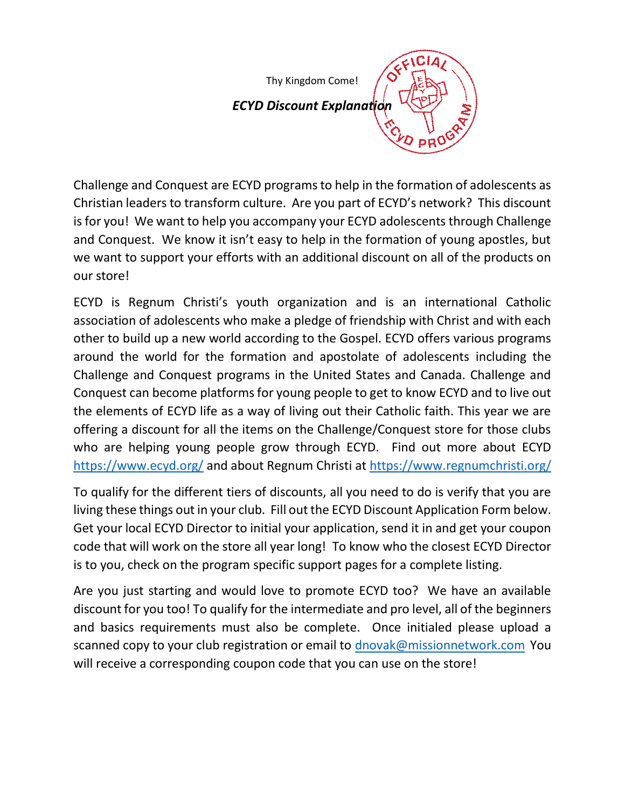Thy Kingdom Come!

# *ECYD Discount Explanation*

Challenge and Conquest are ECYD programs to help in the formation of adolescents as Christian leaders to transform culture. Are you part of ECYD's network? This discount is for you! We want to help you accompany your ECYD adolescents through Challenge and Conquest. We know it isn't easy to help in the formation of young apostles, but we want to support your efforts with an additional discount on all of the products on our store!

ECYD is Regnum Christi's youth organization and is an international Catholic association of adolescents who make a pledge of friendship with Christ and with each other to build up a new world according to the Gospel. ECYD offers various programs around the world for the formation and apostolate of adolescents including the Challenge and Conquest programs in the United States and Canada. Challenge and Conquest can become platforms for young people to get to know ECYD and to live out the elements of ECYD life as a way of living out their Catholic faith. This year we are offering a discount for all the items on the Challenge/Conquest store for those clubs who are helping young people grow through ECYD. Find out more about ECYD <https://www.ecyd.org/> and about Regnum Christi at <https://www.regnumchristi.org/>

To qualify for the different tiers of discounts, all you need to do is verify that you are living these things out in your club. Fill out the ECYD Discount Application Form below. Get your local ECYD Director to initial your application, send it in and get your coupon code that will work on the store all year long! To know who the closest ECYD Director is to you, check on the program specific support pages for a complete listing.

Are you just starting and would love to promote ECYD too? We have an available discount for you too! To qualify for the intermediate and pro level, all of the beginners and basics requirements must also be complete. Once initialed please upload a scanned copy to your club registration or email to [dnovak@missionnetwork.com](mailto:dnovak@missionnetwork.com)You will receive a corresponding coupon code that you can use on the store!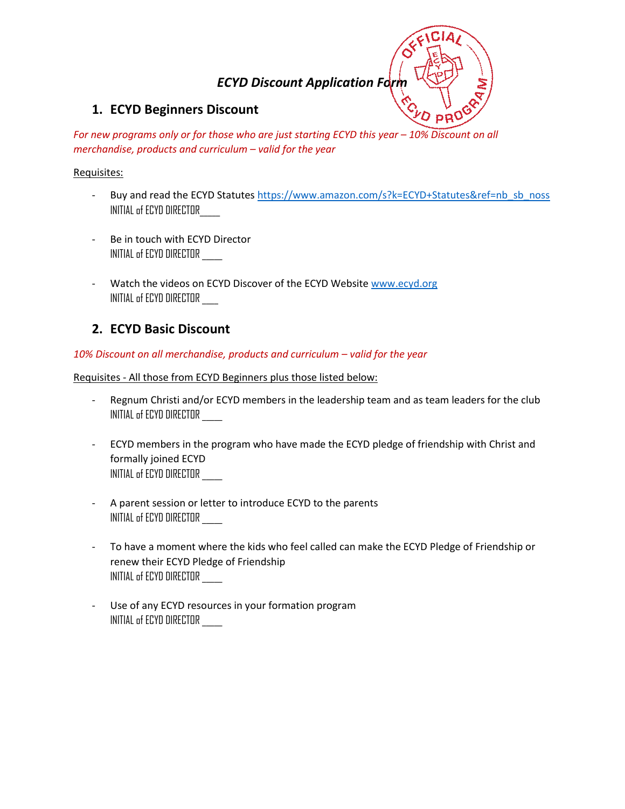# *ECYD Discount Application Form*

### **1. ECYD Beginners Discount**

*For new programs only or for those who are just starting ECYD this year – 10% Discount on all merchandise, products and curriculum – valid for the year*

### Requisites:

- Buy and read the ECYD Statutes [https://www.amazon.com/s?k=ECYD+Statutes&ref=nb\\_sb\\_noss](https://www.amazon.com/s?k=ECYD+Statutes&ref=nb_sb_noss) INITIAL of ECYD DIRECTOR\_\_\_\_\_
- Be in touch with ECYD Director INITIAL of ECYD DIRECTOR \_\_\_\_\_
- Watch the videos on ECYD Discover of the ECYD Website [www.ecyd.org](http://www.ecyd.org/) INITIAL of ECYD DIRECTOR \_\_\_\_

## **2. ECYD Basic Discount**

### 10% Discount on all merchandise, products and curriculum – valid for the year

Requisites - All those from ECYD Beginners plus those listed below:

- Regnum Christi and/or ECYD members in the leadership team and as team leaders for the club INITIAL of ECYD DIRECTOR \_\_\_\_\_
- ECYD members in the program who have made the ECYD pledge of friendship with Christ and formally joined ECYD INITIAL of ECYD DIRECTOR \_\_\_\_\_
- A parent session or letter to introduce ECYD to the parents INITIAL of ECYD DIRECTOR \_\_\_\_\_
- To have a moment where the kids who feel called can make the ECYD Pledge of Friendship or renew their ECYD Pledge of Friendship INITIAL of ECYD DIRECTOR \_\_\_\_\_
- Use of any ECYD resources in your formation program INITIAL of ECYD DIRECTOR \_\_\_\_\_